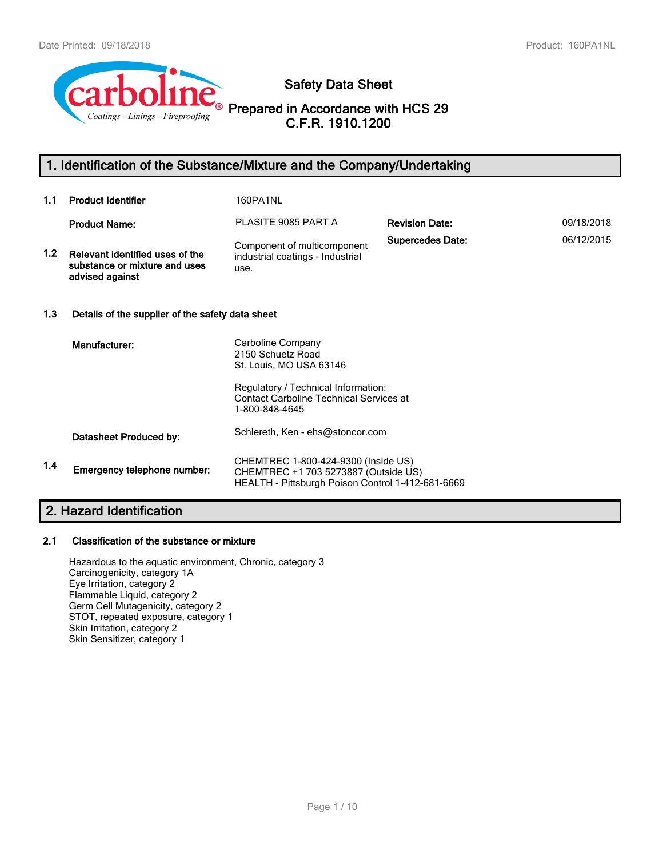

# **Safety Data Sheet**

# **Prepared in Accordance with HCS 29 C.F.R. 1910.1200**

# **1. Identification of the Substance/Mixture and the Company/Undertaking**

| 1.1              | <b>Product Identifier</b>                                                           | 160PA1NL                                                                                                                         |                         |            |  |  |
|------------------|-------------------------------------------------------------------------------------|----------------------------------------------------------------------------------------------------------------------------------|-------------------------|------------|--|--|
|                  | <b>Product Name:</b>                                                                | PLASITE 9085 PART A                                                                                                              | <b>Revision Date:</b>   | 09/18/2018 |  |  |
| 1.2 <sub>1</sub> | Relevant identified uses of the<br>substance or mixture and uses<br>advised against | Component of multicomponent<br>industrial coatings - Industrial<br>use.                                                          | <b>Supercedes Date:</b> | 06/12/2015 |  |  |
| 1.3              | Details of the supplier of the safety data sheet                                    |                                                                                                                                  |                         |            |  |  |
|                  | Manufacturer:                                                                       | Carboline Company<br>2150 Schuetz Road<br>St. Louis, MO USA 63146                                                                |                         |            |  |  |
|                  |                                                                                     | Regulatory / Technical Information:<br><b>Contact Carboline Technical Services at</b><br>1-800-848-4645                          |                         |            |  |  |
|                  | Datasheet Produced by:                                                              | Schlereth, Ken - ehs@stoncor.com                                                                                                 |                         |            |  |  |
| 1.4              | Emergency telephone number:                                                         | CHEMTREC 1-800-424-9300 (Inside US)<br>CHEMTREC +1 703 5273887 (Outside US)<br>HEALTH - Pittsburgh Poison Control 1-412-681-6669 |                         |            |  |  |

# **2. Hazard Identification**

#### **2.1 Classification of the substance or mixture**

Hazardous to the aquatic environment, Chronic, category 3 Carcinogenicity, category 1A Eye Irritation, category 2 Flammable Liquid, category 2 Germ Cell Mutagenicity, category 2 STOT, repeated exposure, category 1 Skin Irritation, category 2 Skin Sensitizer, category 1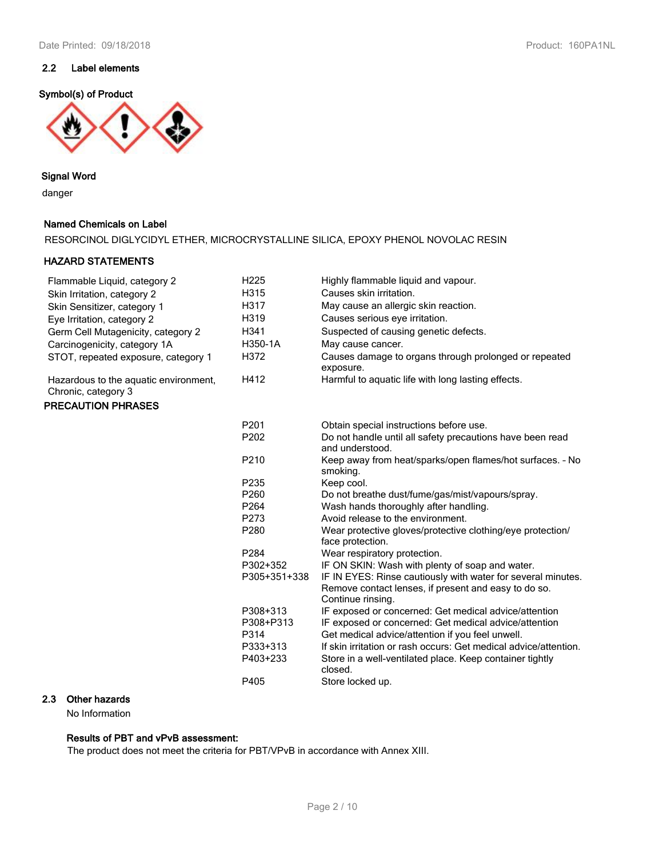# **2.2 Label elements**

## **Symbol(s) of Product**



#### **Signal Word**

danger

#### **Named Chemicals on Label**

RESORCINOL DIGLYCIDYL ETHER, MICROCRYSTALLINE SILICA, EPOXY PHENOL NOVOLAC RESIN

#### **HAZARD STATEMENTS**

| Flammable Liquid, category 2                                 | H <sub>225</sub> | Highly flammable liquid and vapour.                                                                                                       |
|--------------------------------------------------------------|------------------|-------------------------------------------------------------------------------------------------------------------------------------------|
| Skin Irritation, category 2                                  | H315             | Causes skin irritation.                                                                                                                   |
| Skin Sensitizer, category 1                                  | H317             | May cause an allergic skin reaction.                                                                                                      |
| Eye Irritation, category 2                                   | H319             | Causes serious eye irritation.                                                                                                            |
| Germ Cell Mutagenicity, category 2                           | H341             | Suspected of causing genetic defects.                                                                                                     |
| Carcinogenicity, category 1A                                 | H350-1A          | May cause cancer.                                                                                                                         |
| STOT, repeated exposure, category 1                          | H372             | Causes damage to organs through prolonged or repeated<br>exposure.                                                                        |
| Hazardous to the aquatic environment,<br>Chronic, category 3 | H412             | Harmful to aquatic life with long lasting effects.                                                                                        |
| <b>PRECAUTION PHRASES</b>                                    |                  |                                                                                                                                           |
|                                                              | P201             | Obtain special instructions before use.                                                                                                   |
|                                                              | P202             | Do not handle until all safety precautions have been read<br>and understood.                                                              |
|                                                              | P210             | Keep away from heat/sparks/open flames/hot surfaces. - No<br>smoking.                                                                     |
|                                                              | P235             | Keep cool.                                                                                                                                |
|                                                              | P <sub>260</sub> | Do not breathe dust/fume/gas/mist/vapours/spray.                                                                                          |
|                                                              | P <sub>264</sub> | Wash hands thoroughly after handling.                                                                                                     |
|                                                              | P273             | Avoid release to the environment.                                                                                                         |
|                                                              | P280             | Wear protective gloves/protective clothing/eye protection/<br>face protection.                                                            |
|                                                              | P <sub>284</sub> | Wear respiratory protection.                                                                                                              |
|                                                              | P302+352         | IF ON SKIN: Wash with plenty of soap and water.                                                                                           |
|                                                              | P305+351+338     | IF IN EYES: Rinse cautiously with water for several minutes.<br>Remove contact lenses, if present and easy to do so.<br>Continue rinsing. |
|                                                              | P308+313         | IF exposed or concerned: Get medical advice/attention                                                                                     |
|                                                              | P308+P313        | IF exposed or concerned: Get medical advice/attention                                                                                     |
|                                                              | P314             | Get medical advice/attention if you feel unwell.                                                                                          |
|                                                              | P333+313         | If skin irritation or rash occurs: Get medical advice/attention.                                                                          |
|                                                              | P403+233         | Store in a well-ventilated place. Keep container tightly<br>closed.                                                                       |
|                                                              | P405             | Store locked up.                                                                                                                          |

## **2.3 Other hazards**

No Information

#### **Results of PBT and vPvB assessment:**

The product does not meet the criteria for PBT/VPvB in accordance with Annex XIII.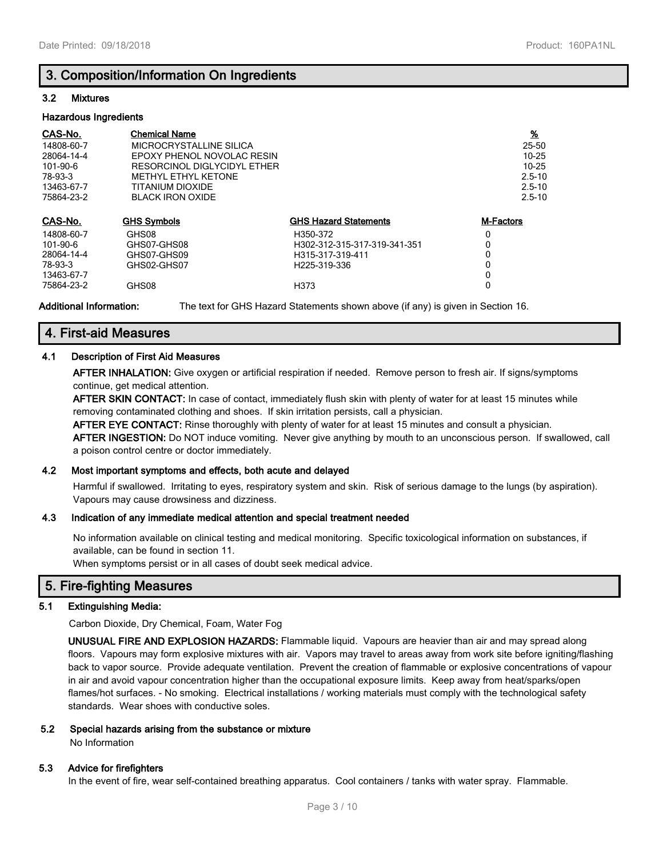# **3. Composition/Information On Ingredients**

#### **3.2 Mixtures**

#### **Hazardous Ingredients**

| CAS-No.<br>14808-60-7<br>28064-14-4<br>101-90-6<br>78-93-3<br>13463-67-7<br>75864-23-2 | <b>Chemical Name</b><br>MICROCRYSTALLINE SILICA<br>EPOXY PHENOL NOVOLAC RESIN<br>RESORCINOL DIGLYCIDYL ETHER<br><b>METHYL ETHYL KETONE</b><br>TITANIUM DIOXIDE<br><b>BLACK IRON OXIDE</b> |                              | <u>%</u><br>25-50<br>$10 - 25$<br>$10 - 25$<br>$2.5 - 10$<br>$2.5 - 10$<br>$2.5 - 10$ |
|----------------------------------------------------------------------------------------|-------------------------------------------------------------------------------------------------------------------------------------------------------------------------------------------|------------------------------|---------------------------------------------------------------------------------------|
| CAS-No.                                                                                | <b>GHS Symbols</b>                                                                                                                                                                        | <b>GHS Hazard Statements</b> | <b>M-Factors</b>                                                                      |
| 14808-60-7                                                                             | GHS08                                                                                                                                                                                     | H350-372                     | 0                                                                                     |
| 101-90-6                                                                               | GHS07-GHS08                                                                                                                                                                               | H302-312-315-317-319-341-351 | 0                                                                                     |
| 28064-14-4                                                                             | GHS07-GHS09                                                                                                                                                                               | H315-317-319-411             | 0                                                                                     |
| 78-93-3                                                                                | GHS02-GHS07                                                                                                                                                                               | H <sub>225</sub> -319-336    | 0                                                                                     |
| 13463-67-7                                                                             |                                                                                                                                                                                           |                              | 0                                                                                     |
| 75864-23-2                                                                             | GHS08                                                                                                                                                                                     | H373                         | 0                                                                                     |

**Additional Information:** The text for GHS Hazard Statements shown above (if any) is given in Section 16.

# **4. First-aid Measures**

#### **4.1 Description of First Aid Measures**

**AFTER INHALATION:** Give oxygen or artificial respiration if needed. Remove person to fresh air. If signs/symptoms continue, get medical attention.

**AFTER SKIN CONTACT:** In case of contact, immediately flush skin with plenty of water for at least 15 minutes while removing contaminated clothing and shoes. If skin irritation persists, call a physician.

**AFTER EYE CONTACT:** Rinse thoroughly with plenty of water for at least 15 minutes and consult a physician. **AFTER INGESTION:** Do NOT induce vomiting. Never give anything by mouth to an unconscious person. If swallowed, call a poison control centre or doctor immediately.

#### **4.2 Most important symptoms and effects, both acute and delayed**

Harmful if swallowed. Irritating to eyes, respiratory system and skin. Risk of serious damage to the lungs (by aspiration). Vapours may cause drowsiness and dizziness.

#### **4.3 Indication of any immediate medical attention and special treatment needed**

No information available on clinical testing and medical monitoring. Specific toxicological information on substances, if available, can be found in section 11.

When symptoms persist or in all cases of doubt seek medical advice.

# **5. Fire-fighting Measures**

#### **5.1 Extinguishing Media:**

Carbon Dioxide, Dry Chemical, Foam, Water Fog

**UNUSUAL FIRE AND EXPLOSION HAZARDS:** Flammable liquid. Vapours are heavier than air and may spread along floors. Vapours may form explosive mixtures with air. Vapors may travel to areas away from work site before igniting/flashing back to vapor source. Provide adequate ventilation. Prevent the creation of flammable or explosive concentrations of vapour in air and avoid vapour concentration higher than the occupational exposure limits. Keep away from heat/sparks/open flames/hot surfaces. - No smoking. Electrical installations / working materials must comply with the technological safety standards. Wear shoes with conductive soles.

#### **5.2 Special hazards arising from the substance or mixture**

No Information

#### **5.3 Advice for firefighters**

In the event of fire, wear self-contained breathing apparatus. Cool containers / tanks with water spray. Flammable.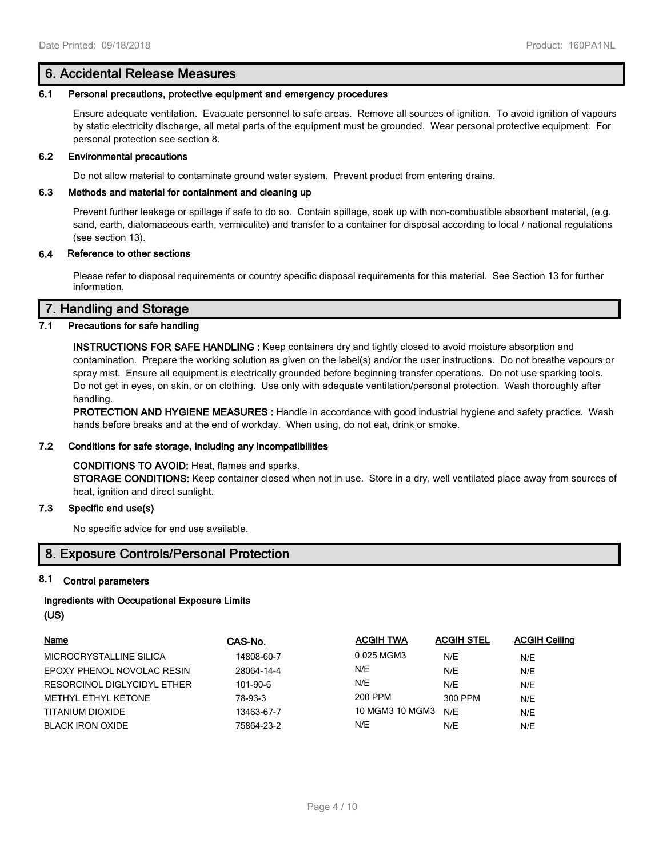## **6. Accidental Release Measures**

#### **6.1 Personal precautions, protective equipment and emergency procedures**

Ensure adequate ventilation. Evacuate personnel to safe areas. Remove all sources of ignition. To avoid ignition of vapours by static electricity discharge, all metal parts of the equipment must be grounded. Wear personal protective equipment. For personal protection see section 8.

#### **6.2 Environmental precautions**

Do not allow material to contaminate ground water system. Prevent product from entering drains.

#### **6.3 Methods and material for containment and cleaning up**

Prevent further leakage or spillage if safe to do so. Contain spillage, soak up with non-combustible absorbent material, (e.g. sand, earth, diatomaceous earth, vermiculite) and transfer to a container for disposal according to local / national regulations (see section 13).

#### **6.4 Reference to other sections**

Please refer to disposal requirements or country specific disposal requirements for this material. See Section 13 for further information.

## **7. Handling and Storage**

#### **7.1 Precautions for safe handling**

**INSTRUCTIONS FOR SAFE HANDLING :** Keep containers dry and tightly closed to avoid moisture absorption and contamination. Prepare the working solution as given on the label(s) and/or the user instructions. Do not breathe vapours or spray mist. Ensure all equipment is electrically grounded before beginning transfer operations. Do not use sparking tools. Do not get in eyes, on skin, or on clothing. Use only with adequate ventilation/personal protection. Wash thoroughly after handling.

**PROTECTION AND HYGIENE MEASURES :** Handle in accordance with good industrial hygiene and safety practice. Wash hands before breaks and at the end of workday. When using, do not eat, drink or smoke.

#### **7.2 Conditions for safe storage, including any incompatibilities**

#### **CONDITIONS TO AVOID:** Heat, flames and sparks.

**STORAGE CONDITIONS:** Keep container closed when not in use. Store in a dry, well ventilated place away from sources of heat, ignition and direct sunlight.

#### **7.3 Specific end use(s)**

No specific advice for end use available.

# **8. Exposure Controls/Personal Protection**

#### **8.1 Control parameters**

## **Ingredients with Occupational Exposure Limits (US)**

| Name                        | CAS-No.    | <b>ACGIH TWA</b> | <b>ACGIH STEL</b> | <b>ACGIH Ceiling</b> |
|-----------------------------|------------|------------------|-------------------|----------------------|
| MICROCRYSTALLINE SILICA     | 14808-60-7 | 0.025 MGM3       | N/E               | N/E                  |
| EPOXY PHENOL NOVOLAC RESIN  | 28064-14-4 | N/E              | N/E               | N/E                  |
| RESORCINOL DIGLYCIDYL ETHER | 101-90-6   | N/E              | N/E               | N/E                  |
| METHYL ETHYL KETONE         | 78-93-3    | 200 PPM          | 300 PPM           | N/E                  |
| TITANIUM DIOXIDE            | 13463-67-7 | 10 MGM3 10 MGM3  | N/E               | N/E                  |
| <b>BLACK IRON OXIDE</b>     | 75864-23-2 | N/E              | N/E               | N/E                  |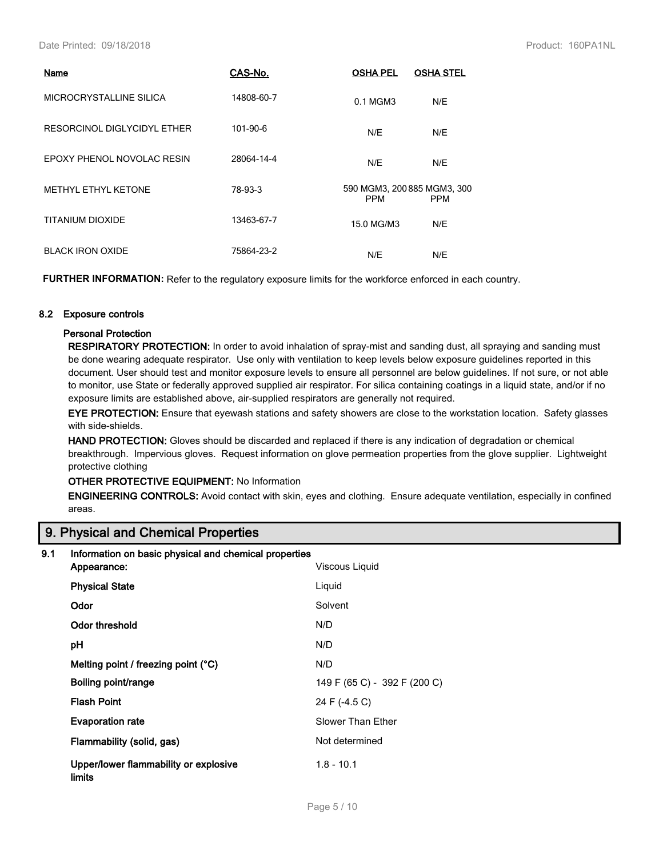| Name                        | CAS-No.    | <b>OSHA PEL</b>                           | <b>OSHA STEL</b> |
|-----------------------------|------------|-------------------------------------------|------------------|
| MICROCRYSTALLINE SILICA     | 14808-60-7 | 0.1 MGM3                                  | N/E              |
| RESORCINOL DIGLYCIDYL ETHER | 101-90-6   | N/E                                       | N/E              |
| EPOXY PHENOL NOVOLAC RESIN  | 28064-14-4 | N/E                                       | N/E              |
| <b>METHYL ETHYL KETONE</b>  | 78-93-3    | 590 MGM3, 200 885 MGM3, 300<br><b>PPM</b> | <b>PPM</b>       |
| TITANIUM DIOXIDE            | 13463-67-7 | 15.0 MG/M3                                | N/E              |
| <b>BLACK IRON OXIDE</b>     | 75864-23-2 | N/E                                       | N/E              |

**FURTHER INFORMATION:** Refer to the regulatory exposure limits for the workforce enforced in each country.

#### **8.2 Exposure controls**

#### **Personal Protection**

**RESPIRATORY PROTECTION:** In order to avoid inhalation of spray-mist and sanding dust, all spraying and sanding must be done wearing adequate respirator. Use only with ventilation to keep levels below exposure guidelines reported in this document. User should test and monitor exposure levels to ensure all personnel are below guidelines. If not sure, or not able to monitor, use State or federally approved supplied air respirator. For silica containing coatings in a liquid state, and/or if no exposure limits are established above, air-supplied respirators are generally not required.

**EYE PROTECTION:** Ensure that eyewash stations and safety showers are close to the workstation location. Safety glasses with side-shields.

**HAND PROTECTION:** Gloves should be discarded and replaced if there is any indication of degradation or chemical breakthrough. Impervious gloves. Request information on glove permeation properties from the glove supplier. Lightweight protective clothing

#### **OTHER PROTECTIVE EQUIPMENT:** No Information

**ENGINEERING CONTROLS:** Avoid contact with skin, eyes and clothing. Ensure adequate ventilation, especially in confined areas.

# **9. Physical and Chemical Properties**

| 9.1 | Information on basic physical and chemical properties  |                              |  |  |
|-----|--------------------------------------------------------|------------------------------|--|--|
|     | Appearance:                                            | Viscous Liquid               |  |  |
|     | <b>Physical State</b>                                  | Liquid                       |  |  |
|     | Odor                                                   | Solvent                      |  |  |
|     | Odor threshold                                         | N/D                          |  |  |
|     | рH                                                     | N/D                          |  |  |
|     | Melting point / freezing point (°C)                    | N/D                          |  |  |
|     | Boiling point/range                                    | 149 F (65 C) - 392 F (200 C) |  |  |
|     | <b>Flash Point</b>                                     | 24 F (-4.5 C)                |  |  |
|     | <b>Evaporation rate</b>                                | Slower Than Ether            |  |  |
|     | Flammability (solid, gas)                              | Not determined               |  |  |
|     | Upper/lower flammability or explosive<br><b>limits</b> | $1.8 - 10.1$                 |  |  |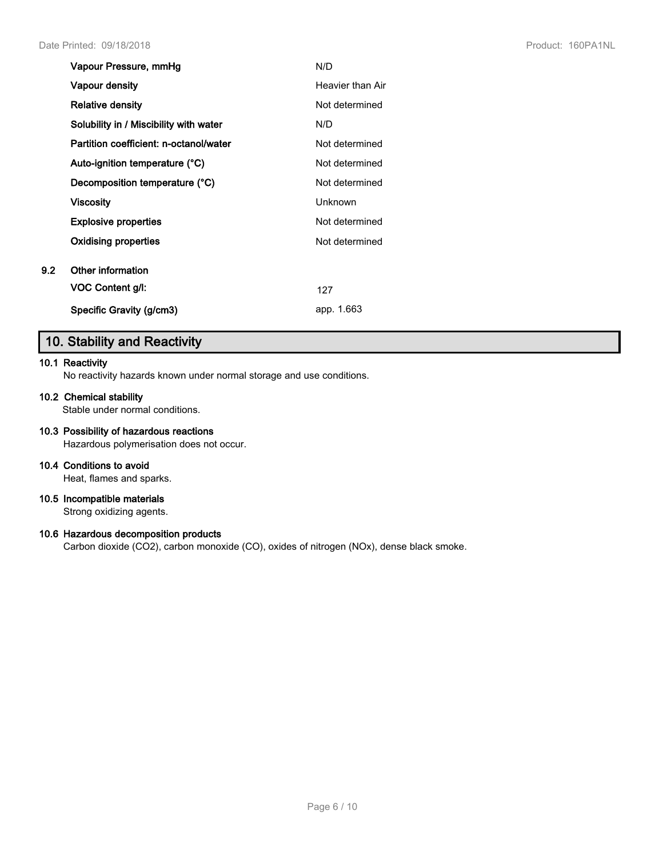| Vapour Pressure, mmHg                  | N/D              |
|----------------------------------------|------------------|
| <b>Vapour density</b>                  | Heavier than Air |
| <b>Relative density</b>                | Not determined   |
| Solubility in / Miscibility with water | N/D              |
| Partition coefficient: n-octanol/water | Not determined   |
| Auto-ignition temperature (°C)         | Not determined   |
| Decomposition temperature (°C)         | Not determined   |
| Viscosity                              | Unknown          |
| <b>Explosive properties</b>            | Not determined   |
| Oxidising properties                   | Not determined   |
| Other information                      |                  |
| VOC Content g/l:                       | 127              |
| Specific Gravity (g/cm3)               | app. 1.663       |

# **10. Stability and Reactivity**

#### **10.1 Reactivity**

**9.2** 

No reactivity hazards known under normal storage and use conditions.

#### **10.2 Chemical stability**

Stable under normal conditions.

### **10.3 Possibility of hazardous reactions** Hazardous polymerisation does not occur.

## **10.4 Conditions to avoid**

Heat, flames and sparks.

# **10.5 Incompatible materials**

Strong oxidizing agents.

# **10.6 Hazardous decomposition products**

Carbon dioxide (CO2), carbon monoxide (CO), oxides of nitrogen (NOx), dense black smoke.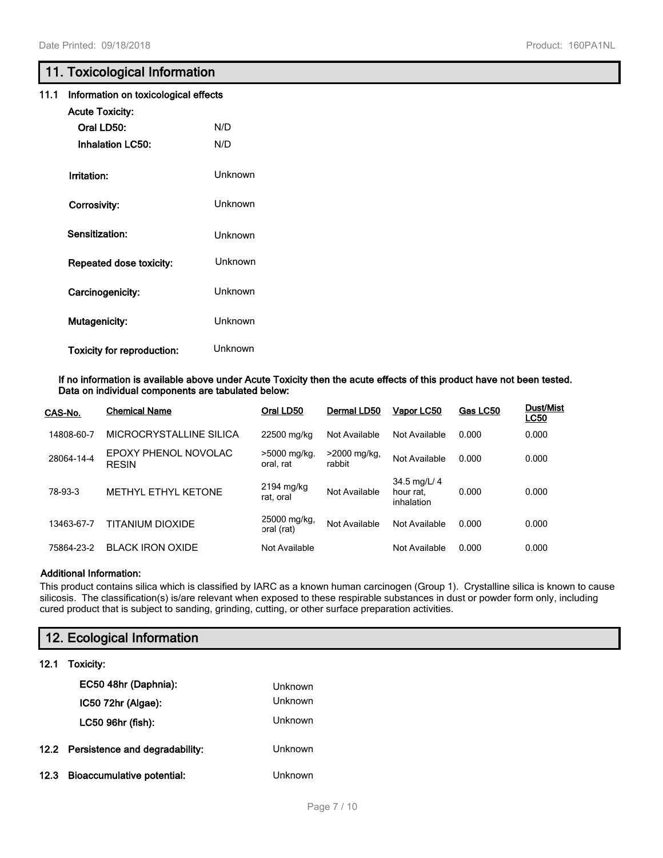# **11. Toxicological Information**

|  | 11.1 Information on toxicological effects |  |  |  |  |
|--|-------------------------------------------|--|--|--|--|
|--|-------------------------------------------|--|--|--|--|

| <b>Acute Toxicity:</b>     |         |
|----------------------------|---------|
| Oral LD50:                 | N/D     |
| <b>Inhalation LC50:</b>    | N/D     |
| Irritation:                | Unknown |
| Corrosivity:               | Unknown |
| Sensitization:             | Unknown |
| Repeated dose toxicity:    | Unknown |
| Carcinogenicity:           | Unknown |
| Mutagenicity:              | Unknown |
| Toxicity for reproduction: | Unknown |

**If no information is available above under Acute Toxicity then the acute effects of this product have not been tested. Data on individual components are tabulated below:**

| CAS-No.    | <b>Chemical Name</b>                 | Oral LD50                  | Dermal LD50            | Vapor LC50                              | Gas LC50 | <b>Dust/Mist</b><br><b>LC50</b> |
|------------|--------------------------------------|----------------------------|------------------------|-----------------------------------------|----------|---------------------------------|
| 14808-60-7 | MICROCRYSTALLINE SILICA              | 22500 mg/kg                | Not Available          | Not Available                           | 0.000    | 0.000                           |
| 28064-14-4 | EPOXY PHENOL NOVOLAC<br><b>RESIN</b> | >5000 mg/kg.<br>oral. rat  | >2000 mg/kg,<br>rabbit | Not Available                           | 0.000    | 0.000                           |
| 78-93-3    | METHYL ETHYL KETONE                  | 2194 mg/kg<br>rat. oral    | Not Available          | 34.5 mg/L/ 4<br>hour rat.<br>inhalation | 0.000    | 0.000                           |
| 13463-67-7 | TITANIUM DIOXIDE                     | 25000 mg/kg,<br>oral (rat) | Not Available          | Not Available                           | 0.000    | 0.000                           |
| 75864-23-2 | <b>BLACK IRON OXIDE</b>              | Not Available              |                        | Not Available                           | 0.000    | 0.000                           |

#### **Additional Information:**

This product contains silica which is classified by IARC as a known human carcinogen (Group 1). Crystalline silica is known to cause silicosis. The classification(s) is/are relevant when exposed to these respirable substances in dust or powder form only, including cured product that is subject to sanding, grinding, cutting, or other surface preparation activities.

|      | 12. Ecological Information          |                |  |  |  |
|------|-------------------------------------|----------------|--|--|--|
| 12.1 | Toxicity:                           |                |  |  |  |
|      | EC50 48hr (Daphnia):                | Unknown        |  |  |  |
|      | IC50 72hr (Algae):                  | <b>Unknown</b> |  |  |  |
|      | LC50 96hr (fish):                   | Unknown        |  |  |  |
|      | 12.2 Persistence and degradability: | <b>Unknown</b> |  |  |  |
| 12.3 | <b>Bioaccumulative potential:</b>   | Unknown        |  |  |  |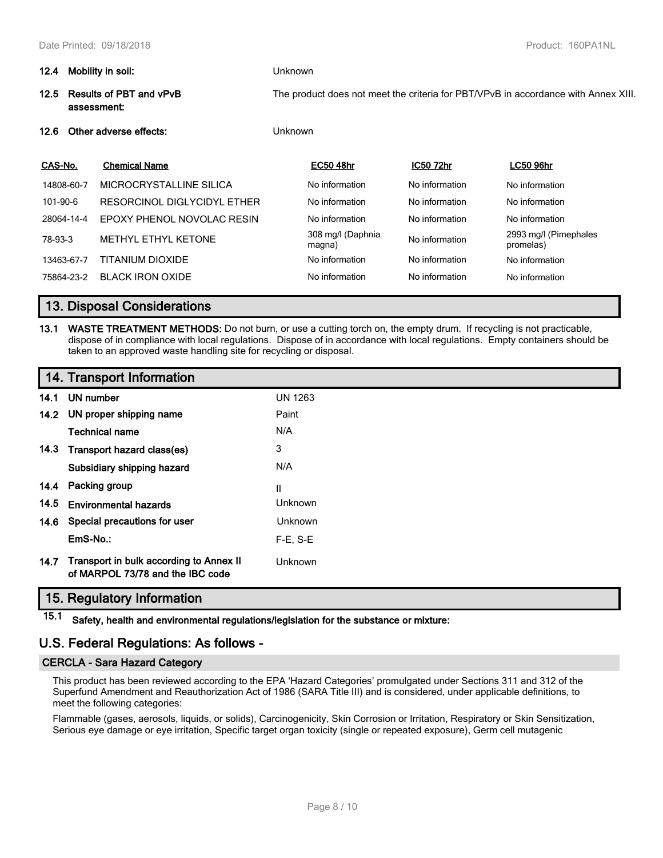| 12.4     | Mobility in soil:                      |                             | <b>Unknown</b>                                                                     |                             |                  |                                    |  |
|----------|----------------------------------------|-----------------------------|------------------------------------------------------------------------------------|-----------------------------|------------------|------------------------------------|--|
| 12.5     | Results of PBT and vPvB<br>assessment: |                             | The product does not meet the criteria for PBT/VPvB in accordance with Annex XIII. |                             |                  |                                    |  |
| 12.6     | Other adverse effects:                 |                             |                                                                                    | Unknown                     |                  |                                    |  |
| CAS-No.  |                                        | <b>Chemical Name</b>        |                                                                                    | <b>EC50 48hr</b>            | <b>IC50 72hr</b> | <b>LC50 96hr</b>                   |  |
|          | 14808-60-7                             | MICROCRYSTALLINE SILICA     |                                                                                    | No information              | No information   | No information                     |  |
| 101-90-6 |                                        | RESORCINOL DIGLYCIDYL ETHER |                                                                                    | No information              | No information   | No information                     |  |
|          | 28064-14-4                             | EPOXY PHENOL NOVOLAC RESIN  |                                                                                    | No information              | No information   | No information                     |  |
| 78-93-3  |                                        | METHYL ETHYL KETONE         |                                                                                    | 308 mg/l (Daphnia<br>magna) | No information   | 2993 mg/l (Pimephales<br>promelas) |  |

# **13. Disposal Considerations**

**13.1 WASTE TREATMENT METHODS:** Do not burn, or use a cutting torch on, the empty drum. If recycling is not practicable, dispose of in compliance with local regulations. Dispose of in accordance with local regulations. Empty containers should be taken to an approved waste handling site for recycling or disposal.

13463-67-7 TITANIUM DIOXIDE No information No information No information No information 75864-23-2 BLACK IRON OXIDE No information No information No information

# **14. Transport Information**

| 14.1 | UN number                                                                   | <b>UN 1263</b> |  |
|------|-----------------------------------------------------------------------------|----------------|--|
|      | 14.2 UN proper shipping name                                                | Paint          |  |
|      | <b>Technical name</b>                                                       | N/A            |  |
|      | 14.3 Transport hazard class(es)                                             | 3              |  |
|      | Subsidiary shipping hazard                                                  | N/A            |  |
|      | 14.4 Packing group                                                          | Ш              |  |
| 14.5 | <b>Environmental hazards</b>                                                | <b>Unknown</b> |  |
|      | 14.6 Special precautions for user                                           | <b>Unknown</b> |  |
|      | EmS-No.:                                                                    | $F-E$ , S-E    |  |
| 14.7 | Transport in bulk according to Annex II<br>of MARPOL 73/78 and the IBC code | Unknown        |  |

# **15. Regulatory Information**

**15.1 Safety, health and environmental regulations/legislation for the substance or mixture:**

# **U.S. Federal Regulations: As follows -**

#### **CERCLA - Sara Hazard Category**

This product has been reviewed according to the EPA 'Hazard Categories' promulgated under Sections 311 and 312 of the Superfund Amendment and Reauthorization Act of 1986 (SARA Title III) and is considered, under applicable definitions, to meet the following categories:

Flammable (gases, aerosols, liquids, or solids), Carcinogenicity, Skin Corrosion or Irritation, Respiratory or Skin Sensitization, Serious eye damage or eye irritation, Specific target organ toxicity (single or repeated exposure), Germ cell mutagenic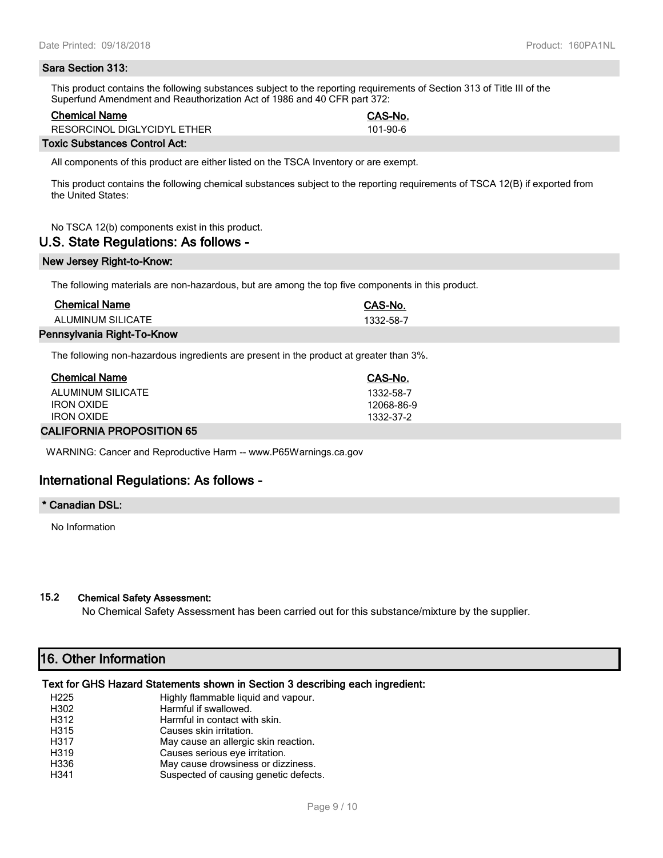#### **Sara Section 313:**

This product contains the following substances subject to the reporting requirements of Section 313 of Title III of the Superfund Amendment and Reauthorization Act of 1986 and 40 CFR part 372:

#### **Chemical Name CAS-No.**

RESORCINOL DIGLYCIDYL ETHER 101-90-6

#### **Toxic Substances Control Act:**

All components of this product are either listed on the TSCA Inventory or are exempt.

This product contains the following chemical substances subject to the reporting requirements of TSCA 12(B) if exported from the United States:

No TSCA 12(b) components exist in this product.

#### **U.S. State Regulations: As follows -**

#### **New Jersey Right-to-Know:**

The following materials are non-hazardous, but are among the top five components in this product.

| <b>Chemical Name</b>       | CAS-No.   |
|----------------------------|-----------|
| ALUMINUM SILICATE          | 1332-58-7 |
| Pennsylvania Right-To-Know |           |

The following non-hazardous ingredients are present in the product at greater than 3%.

| <b>Chemical Name</b> | CAS-No.    |
|----------------------|------------|
| ALUMINUM SILICATE    | 1332-58-7  |
| <b>IRON OXIDE</b>    | 12068-86-9 |
| <b>IRON OXIDE</b>    | 1332-37-2  |
|                      |            |

#### **CALIFORNIA PROPOSITION 65**

WARNING: Cancer and Reproductive Harm -- www.P65Warnings.ca.gov

# **International Regulations: As follows -**

#### **\* Canadian DSL:**

No Information

#### **15.2 Chemical Safety Assessment:**

No Chemical Safety Assessment has been carried out for this substance/mixture by the supplier.

# **16. Other Information**

#### **Text for GHS Hazard Statements shown in Section 3 describing each ingredient:**